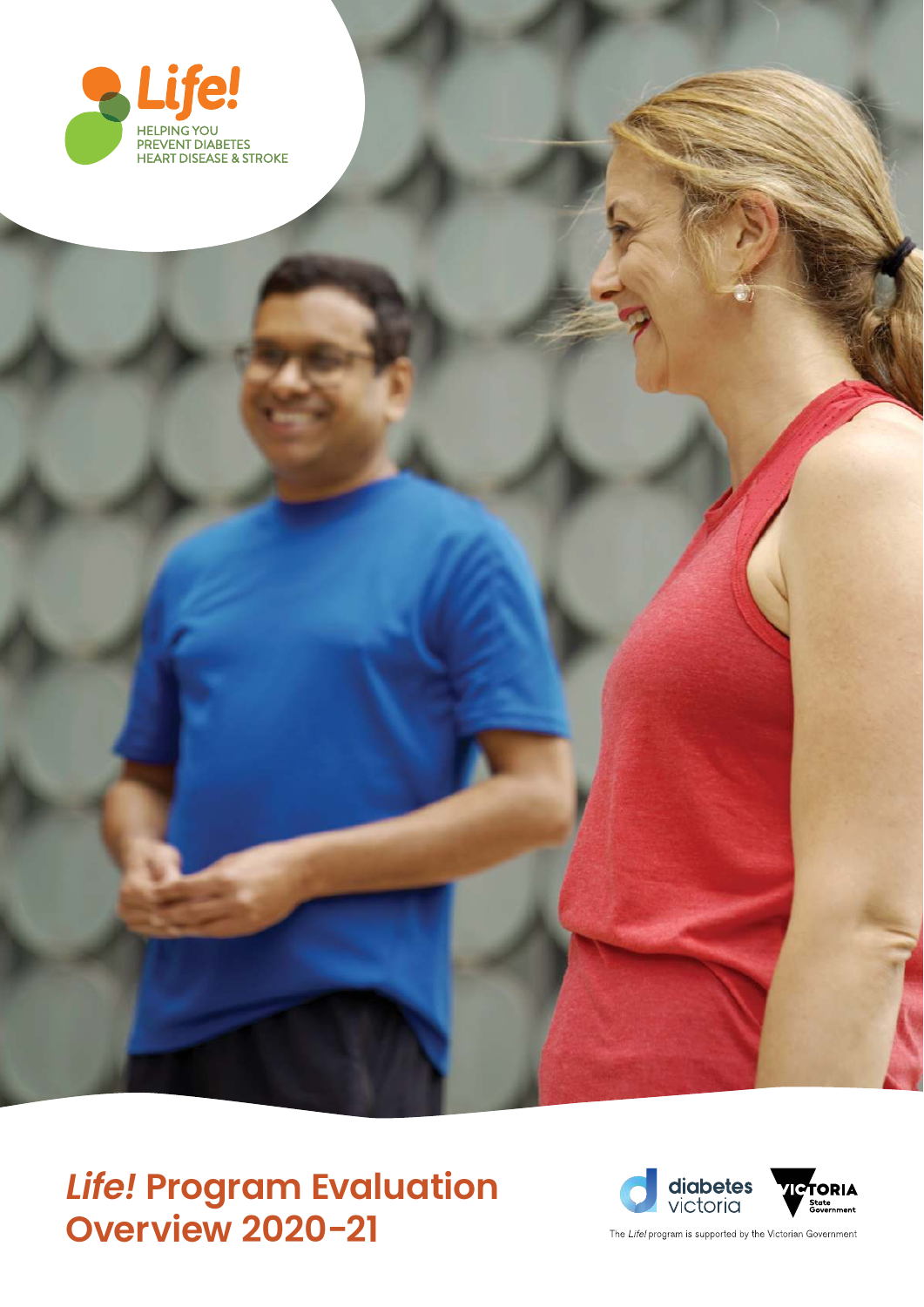



The Life! program is supported by the Victorian Government

## *Life!* **Program Evaluation Overview 2020-21**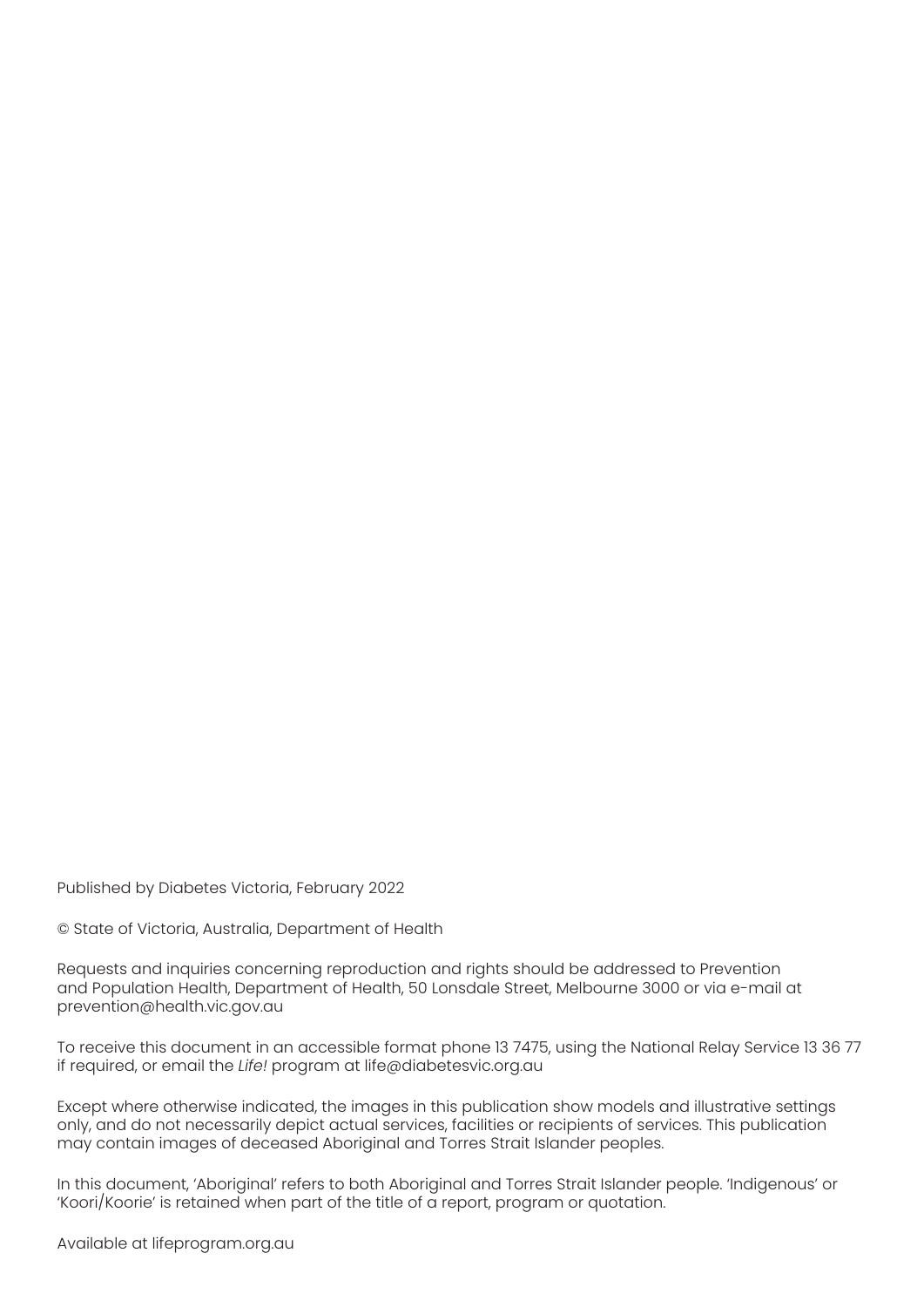Published by Diabetes Victoria, February 2022

© State of Victoria, Australia, Department of Health

Requests and inquiries concerning reproduction and rights should be addressed to Prevention and Population Health, Department of Health, 50 Lonsdale Street, Melbourne 3000 or via e-mail at prevention@health.vic.gov.au

To receive this document in an accessible format phone 13 7475, using the National Relay Service 13 36 77 if required, or email the *Life!* program at life@diabetesvic.org.au

Except where otherwise indicated, the images in this publication show models and illustrative settings only, and do not necessarily depict actual services, facilities or recipients of services. This publication may contain images of deceased Aboriginal and Torres Strait Islander peoples.

In this document, 'Aboriginal' refers to both Aboriginal and Torres Strait Islander people. 'Indigenous' or 'Koori/Koorie' is retained when part of the title of a report, program or quotation.

Available at lifeprogram.org.au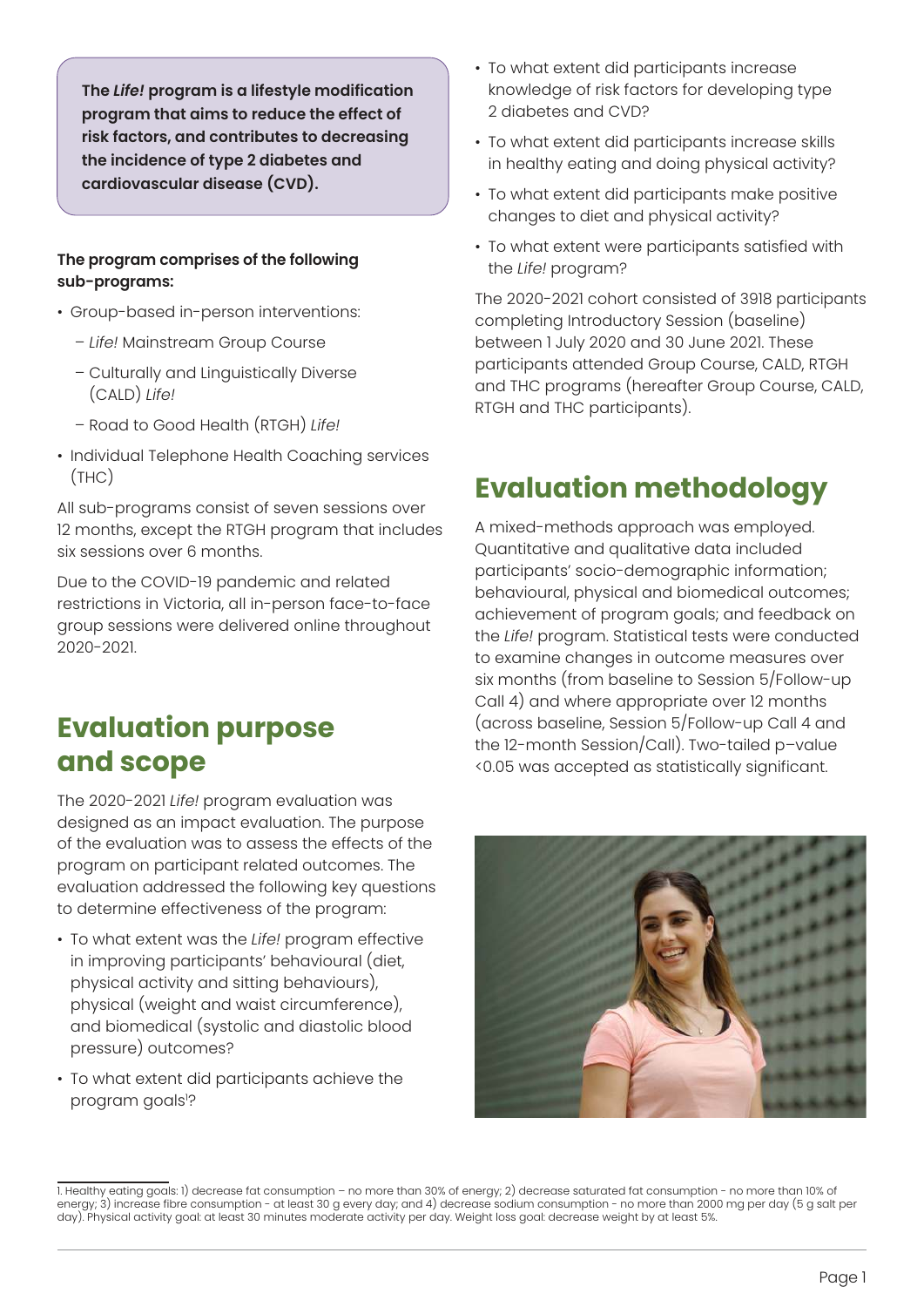**The** *Life!* **program is a lifestyle modification program that aims to reduce the effect of risk factors, and contributes to decreasing the incidence of type 2 diabetes and cardiovascular disease (CVD).** 

#### **The program comprises of the following sub-programs:**

- Group-based in-person interventions:
	- *Life!* Mainstream Group Course
	- Culturally and Linguistically Diverse (CALD) *Life!*
	- Road to Good Health (RTGH) *Life!*
- Individual Telephone Health Coaching services (THC)

All sub-programs consist of seven sessions over 12 months, except the RTGH program that includes six sessions over 6 months.

Due to the COVID-19 pandemic and related restrictions in Victoria, all in-person face-to-face group sessions were delivered online throughout 2020-2021.

### **Evaluation purpose and scope**

The 2020-2021 *Life!* program evaluation was designed as an impact evaluation. The purpose of the evaluation was to assess the effects of the program on participant related outcomes. The evaluation addressed the following key questions to determine effectiveness of the program:

- To what extent was the *Life!* program effective in improving participants' behavioural (diet, physical activity and sitting behaviours), physical (weight and waist circumference), and biomedical (systolic and diastolic blood pressure) outcomes?
- To what extent did participants achieve the program goals<sup>1</sup>?
- To what extent did participants increase knowledge of risk factors for developing type 2 diabetes and CVD?
- To what extent did participants increase skills in healthy eating and doing physical activity?
- To what extent did participants make positive changes to diet and physical activity?
- To what extent were participants satisfied with the *Life!* program?

The 2020-2021 cohort consisted of 3918 participants completing Introductory Session (baseline) between 1 July 2020 and 30 June 2021. These participants attended Group Course, CALD, RTGH and THC programs (hereafter Group Course, CALD, RTGH and THC participants).

### **Evaluation methodology**

A mixed-methods approach was employed. Quantitative and qualitative data included participants' socio-demographic information; behavioural, physical and biomedical outcomes; achievement of program goals; and feedback on the *Life!* program. Statistical tests were conducted to examine changes in outcome measures over six months (from baseline to Session 5/Follow-up Call 4) and where appropriate over 12 months (across baseline, Session 5/Follow-up Call 4 and the 12-month Session/Call). Two-tailed p–value <0.05 was accepted as statistically significant.



<sup>1.</sup> Healthy eating goals: 1) decrease fat consumption – no more than 30% of energy; 2) decrease saturated fat consumption - no more than 10% of energy; 3) increase fibre consumption - at least 30 g every day; and 4) decrease sodium consumption - no more than 2000 mg per day (5 g salt per day). Physical activity goal: at least 30 minutes moderate activity per day. Weight loss goal: decrease weight by at least 5%.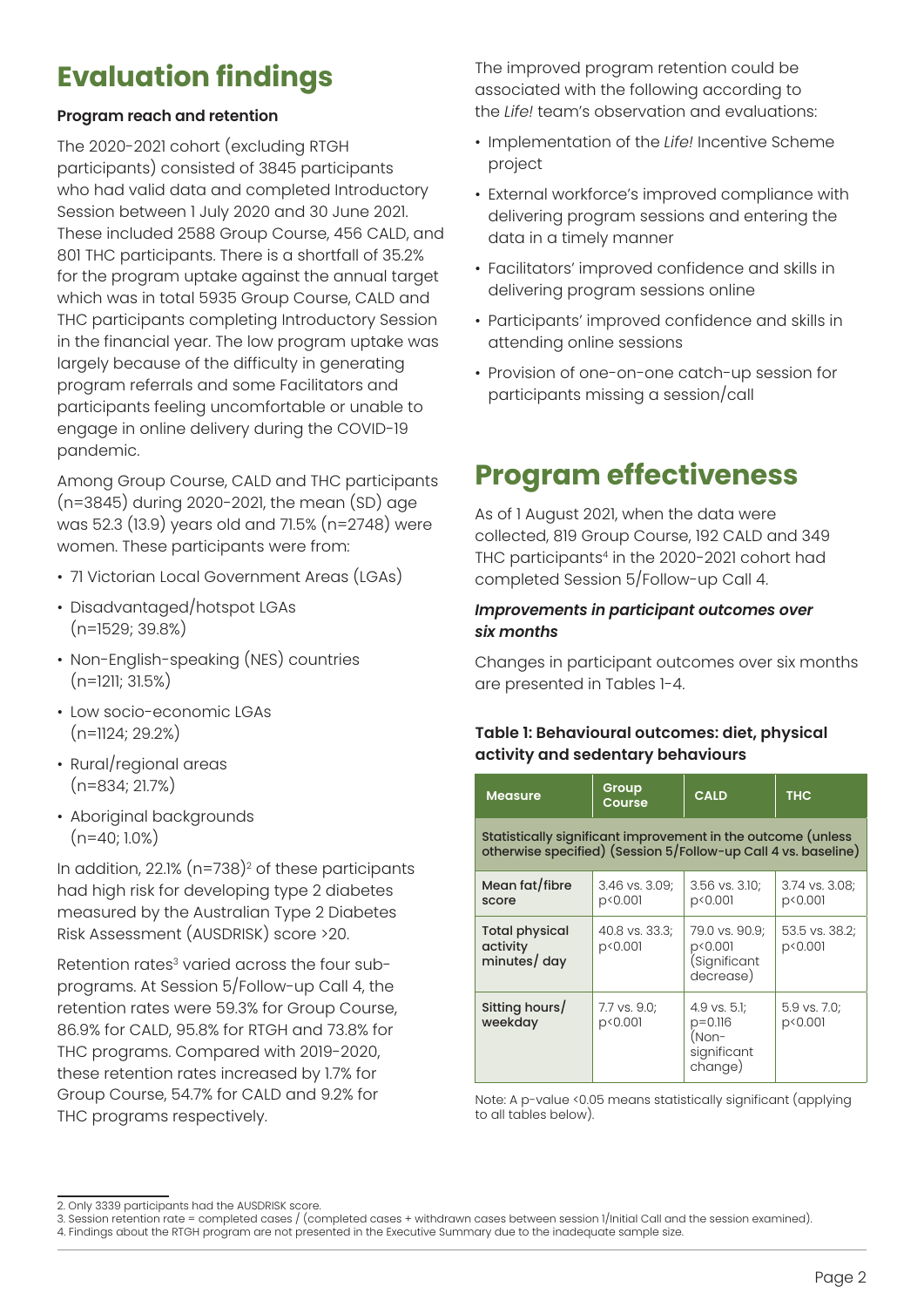### **Evaluation findings**

#### **Program reach and retention**

The 2020-2021 cohort (excluding RTGH participants) consisted of 3845 participants who had valid data and completed Introductory Session between 1 July 2020 and 30 June 2021. These included 2588 Group Course, 456 CALD, and 801 THC participants. There is a shortfall of 35.2% for the program uptake against the annual target which was in total 5935 Group Course, CALD and THC participants completing Introductory Session in the financial year. The low program uptake was largely because of the difficulty in generating program referrals and some Facilitators and participants feeling uncomfortable or unable to engage in online delivery during the COVID-19 pandemic.

Among Group Course, CALD and THC participants (n=3845) during 2020-2021, the mean (SD) age was 52.3 (13.9) years old and 71.5% (n=2748) were women. These participants were from:

- 71 Victorian Local Government Areas (LGAs)
- Disadvantaged/hotspot LGAs (n=1529; 39.8%)
- Non-English-speaking (NES) countries  $(n=1211; 31.5\%)$
- Low socio-economic LGAs (n=1124; 29.2%)
- Rural/regional areas (n=834; 21.7%)
- Aboriginal backgrounds  $(n=40; 1.0%)$

In addition, 22.1% (n=738)<sup>2</sup> of these participants had high risk for developing type 2 diabetes measured by the Australian Type 2 Diabetes Risk Assessment (AUSDRISK) score >20.

Retention rates<sup>3</sup> varied across the four subprograms. At Session 5/Follow-up Call 4, the retention rates were 59.3% for Group Course, 86.9% for CALD, 95.8% for RTGH and 73.8% for THC programs. Compared with 2019-2020, these retention rates increased by 1.7% for Group Course, 54.7% for CALD and 9.2% for THC programs respectively.

The improved program retention could be associated with the following according to the *Life!* team's observation and evaluations:

- Implementation of the *Life!* Incentive Scheme project
- External workforce's improved compliance with delivering program sessions and entering the data in a timely manner
- Facilitators' improved confidence and skills in delivering program sessions online
- Participants' improved confidence and skills in attending online sessions
- Provision of one-on-one catch-up session for participants missing a session/call

### **Program effectiveness**

As of 1 August 2021, when the data were collected, 819 Group Course, 192 CALD and 349 THC participants<sup>4</sup> in the 2020-2021 cohort had completed Session 5/Follow-up Call 4.

#### *Improvements in participant outcomes over six months*

Changes in participant outcomes over six months are presented in Tables 1-4.

#### **Table 1: Behavioural outcomes: diet, physical activity and sedentary behaviours**

| <b>Measure</b>                                                                                                                 | Group<br>Course           | <b>CALD</b>                                                    | <b>THC</b>                |  |  |
|--------------------------------------------------------------------------------------------------------------------------------|---------------------------|----------------------------------------------------------------|---------------------------|--|--|
| Statistically significant improvement in the outcome (unless<br>otherwise specified) (Session 5/Follow-up Call 4 vs. baseline) |                           |                                                                |                           |  |  |
| Mean fat/fibre<br>score                                                                                                        | 3.46 vs. 3.09;<br>p<0.001 | 3.56 vs. 3.10;<br>p<0.001                                      | 3.74 vs. 3.08;<br>p<0.001 |  |  |
| <b>Total physical</b><br>activity<br>minutes/ day                                                                              | 40.8 vs. 33.3;<br>p<0.001 | 79.0 vs. 90.9;<br>p<0.001<br>(Significant<br>decrease)         | 53.5 vs. 38.2;<br>p<0.001 |  |  |
| Sitting hours/<br>weekday                                                                                                      | 7.7 vs. 9.0;<br>p<0.001   | 4.9 vs. 5.1;<br>$p = 0.116$<br>(Non-<br>significant<br>change) | 5.9 vs. 7.0;<br>p<0.001   |  |  |

Note: A p-value <0.05 means statistically significant (applying to all tables below).

<sup>2.</sup> Only 3339 participants had the AUSDRISK score.

<sup>3.</sup> Session retention rate = completed cases / (completed cases + withdrawn cases between session 1/Initial Call and the session examined).

<sup>4.</sup> Findings about the RTGH program are not presented in the Executive Summary due to the inadequate sample size.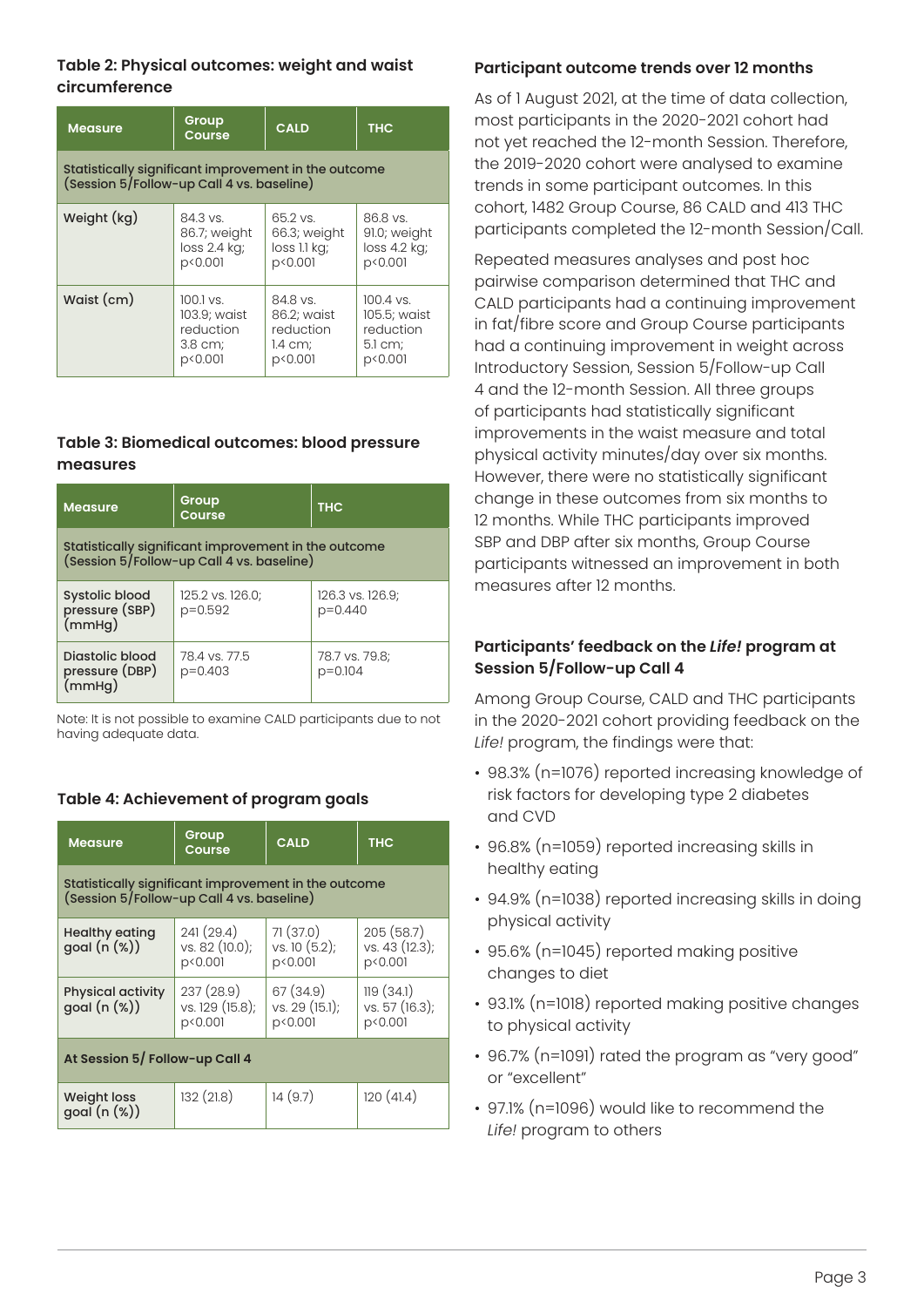#### **Table 2: Physical outcomes: weight and waist circumference**

| <b>Measure</b>                                                                                    | Group<br>Course | <b>CALD</b>  | <b>THC</b>   |  |  |
|---------------------------------------------------------------------------------------------------|-----------------|--------------|--------------|--|--|
| Statistically significant improvement in the outcome<br>(Session 5/Follow-up Call 4 vs. baseline) |                 |              |              |  |  |
| Weight (kg)                                                                                       | 84.3 vs.        | 65.2 vs.     | 86.8 vs.     |  |  |
|                                                                                                   | 86.7; weight    | 66.3; weight | 91.0; weight |  |  |
|                                                                                                   | loss 2.4 kg;    | loss 1.1 kg; | loss 4.2 kg; |  |  |
|                                                                                                   | p<0.001         | p<0.001      | p<0.001      |  |  |
| Waist (cm)                                                                                        | $100.1$ vs.     | 84.8 vs.     | $100.4$ vs.  |  |  |
|                                                                                                   | 103.9; waist    | 86.2; waist  | 105.5; waist |  |  |
|                                                                                                   | reduction       | reduction    | reduction    |  |  |
|                                                                                                   | 3.8 cm;         | $1.4$ cm;    | 5.1 cm;      |  |  |
|                                                                                                   | p<0.001         | p<0.001      | p<0.001      |  |  |

#### **Table 3: Biomedical outcomes: blood pressure measures**

| <b>Measure</b>                                                                                    | Group<br>Course             | <b>THC</b>                  |  |  |  |
|---------------------------------------------------------------------------------------------------|-----------------------------|-----------------------------|--|--|--|
| Statistically significant improvement in the outcome<br>(Session 5/Follow-up Call 4 vs. baseline) |                             |                             |  |  |  |
| Systolic blood<br>pressure (SBP)<br>(mmHg)                                                        | 125.2 vs. 126.0;<br>p=0.592 | 126.3 vs. 126.9;<br>p=0.440 |  |  |  |
| Diastolic blood<br>pressure (DBP)<br>(mmHg)                                                       | 78.4 vs. 77.5<br>$p=0.403$  | 78.7 vs. 79.8:<br>$p=0.104$ |  |  |  |

Note: It is not possible to examine CALD participants due to not having adequate data.

#### **Table 4: Achievement of program goals**

| <b>Measure</b>                                                                                    | Group<br>Course                         | <b>CALD</b>                            | <b>THC</b>                             |  |  |
|---------------------------------------------------------------------------------------------------|-----------------------------------------|----------------------------------------|----------------------------------------|--|--|
| Statistically significant improvement in the outcome<br>(Session 5/Follow-up Call 4 vs. baseline) |                                         |                                        |                                        |  |  |
| <b>Healthy eating</b><br>goal $(n (%))$                                                           | 241(29.4)<br>vs. 82 (10.0);<br>p<0.001  | 71(37.0)<br>vs. 10 (5.2);<br>p<0.001   | 205(58.7)<br>vs. 43 (12.3);<br>p<0.001 |  |  |
| <b>Physical activity</b><br>$goal (n (\%))$                                                       | 237(28.9)<br>vs. 129 (15.8);<br>p<0.001 | 67 (34.9)<br>vs. 29 (15.1);<br>p<0.001 | 119(34.1)<br>vs. 57 (16.3);<br>p<0.001 |  |  |
| At Session 5/ Follow-up Call 4                                                                    |                                         |                                        |                                        |  |  |
| <b>Weight loss</b><br>goal (n (%))                                                                | 132(21.8)                               | 14(9.7)                                | 120(41.4)                              |  |  |

#### **Participant outcome trends over 12 months**

As of 1 August 2021, at the time of data collection, most participants in the 2020-2021 cohort had not yet reached the 12-month Session. Therefore, the 2019-2020 cohort were analysed to examine trends in some participant outcomes. In this cohort, 1482 Group Course, 86 CALD and 413 THC participants completed the 12-month Session/Call.

Repeated measures analyses and post hoc pairwise comparison determined that THC and CALD participants had a continuing improvement in fat/fibre score and Group Course participants had a continuing improvement in weight across Introductory Session, Session 5/Follow-up Call 4 and the 12-month Session. All three groups of participants had statistically significant improvements in the waist measure and total physical activity minutes/day over six months. However, there were no statistically significant change in these outcomes from six months to 12 months. While THC participants improved SBP and DBP after six months, Group Course participants witnessed an improvement in both measures after 12 months.

#### **Participants' feedback on the** *Life!* **program at Session 5/Follow-up Call 4**

Among Group Course, CALD and THC participants in the 2020-2021 cohort providing feedback on the *Life!* program, the findings were that:

- 98.3% (n=1076) reported increasing knowledge of risk factors for developing type 2 diabetes and CVD
- 96.8% (n=1059) reported increasing skills in healthy eating
- 94.9% (n=1038) reported increasing skills in doing physical activity
- 95.6% (n=1045) reported making positive changes to diet
- 93.1% (n=1018) reported making positive changes to physical activity
- 96.7% (n=1091) rated the program as "very good" or "excellent"
- 97.1% (n=1096) would like to recommend the *Life!* program to others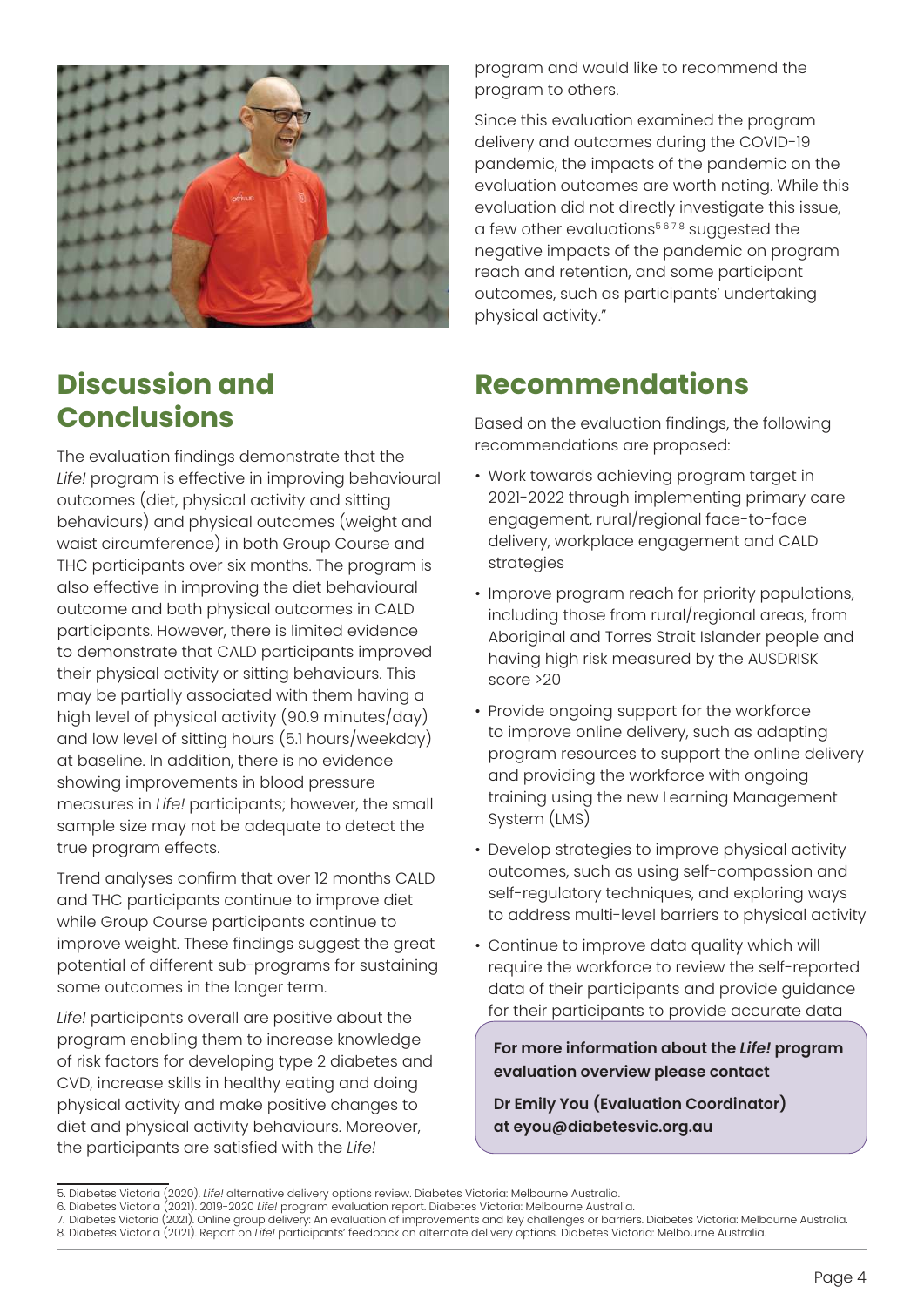

### **Discussion and Conclusions**

The evaluation findings demonstrate that the *Life!* program is effective in improving behavioural outcomes (diet, physical activity and sitting behaviours) and physical outcomes (weight and waist circumference) in both Group Course and THC participants over six months. The program is also effective in improving the diet behavioural outcome and both physical outcomes in CALD participants. However, there is limited evidence to demonstrate that CALD participants improved their physical activity or sitting behaviours. This may be partially associated with them having a high level of physical activity (90.9 minutes/day) and low level of sitting hours (5.1 hours/weekday) at baseline. In addition, there is no evidence showing improvements in blood pressure measures in *Life!* participants; however, the small sample size may not be adequate to detect the true program effects.

Trend analyses confirm that over 12 months CALD and THC participants continue to improve diet while Group Course participants continue to improve weight. These findings suggest the great potential of different sub-programs for sustaining some outcomes in the longer term.

*Life!* participants overall are positive about the program enabling them to increase knowledge of risk factors for developing type 2 diabetes and CVD, increase skills in healthy eating and doing physical activity and make positive changes to diet and physical activity behaviours. Moreover, the participants are satisfied with the *Life!*

program and would like to recommend the program to others.

Since this evaluation examined the program delivery and outcomes during the COVID-19 pandemic, the impacts of the pandemic on the evaluation outcomes are worth noting. While this evaluation did not directly investigate this issue, a few other evaluations $5678$  suggested the negative impacts of the pandemic on program reach and retention, and some participant outcomes, such as participants' undertaking physical activity."

### **Recommendations**

Based on the evaluation findings, the following recommendations are proposed:

- Work towards achieving program target in 2021-2022 through implementing primary care engagement, rural/regional face-to-face delivery, workplace engagement and CALD strategies
- Improve program reach for priority populations, including those from rural/regional areas, from Aboriginal and Torres Strait Islander people and having high risk measured by the AUSDRISK score >20
- Provide ongoing support for the workforce to improve online delivery, such as adapting program resources to support the online delivery and providing the workforce with ongoing training using the new Learning Management System (LMS)
- Develop strategies to improve physical activity outcomes, such as using self-compassion and self-regulatory techniques, and exploring ways to address multi-level barriers to physical activity
- Continue to improve data quality which will require the workforce to review the self-reported data of their participants and provide guidance for their participants to provide accurate data

**For more information about the** *Life!* **program evaluation overview please contact** 

**Dr Emily You (Evaluation Coordinator) at eyou@diabetesvic.org.au**

<sup>5.</sup> Diabetes Victoria (2020). *Life!* alternative delivery options review. Diabetes Victoria: Melbourne Australia.

<sup>6.</sup> Diabetes Victoria (2021). 2019-2020 *Life!* program evaluation report. Diabetes Victoria: Melbourne Australia.

<sup>7.</sup> Diabetes Victoria (2021). Online group delivery: An evaluation of improvements and key challenges or barriers. Diabetes Victoria: Melbourne Australia.

<sup>8.</sup> Diabetes Victoria (2021). Report on *Life!* participants' feedback on alternate delivery options. Diabetes Victoria: Melbourne Australia.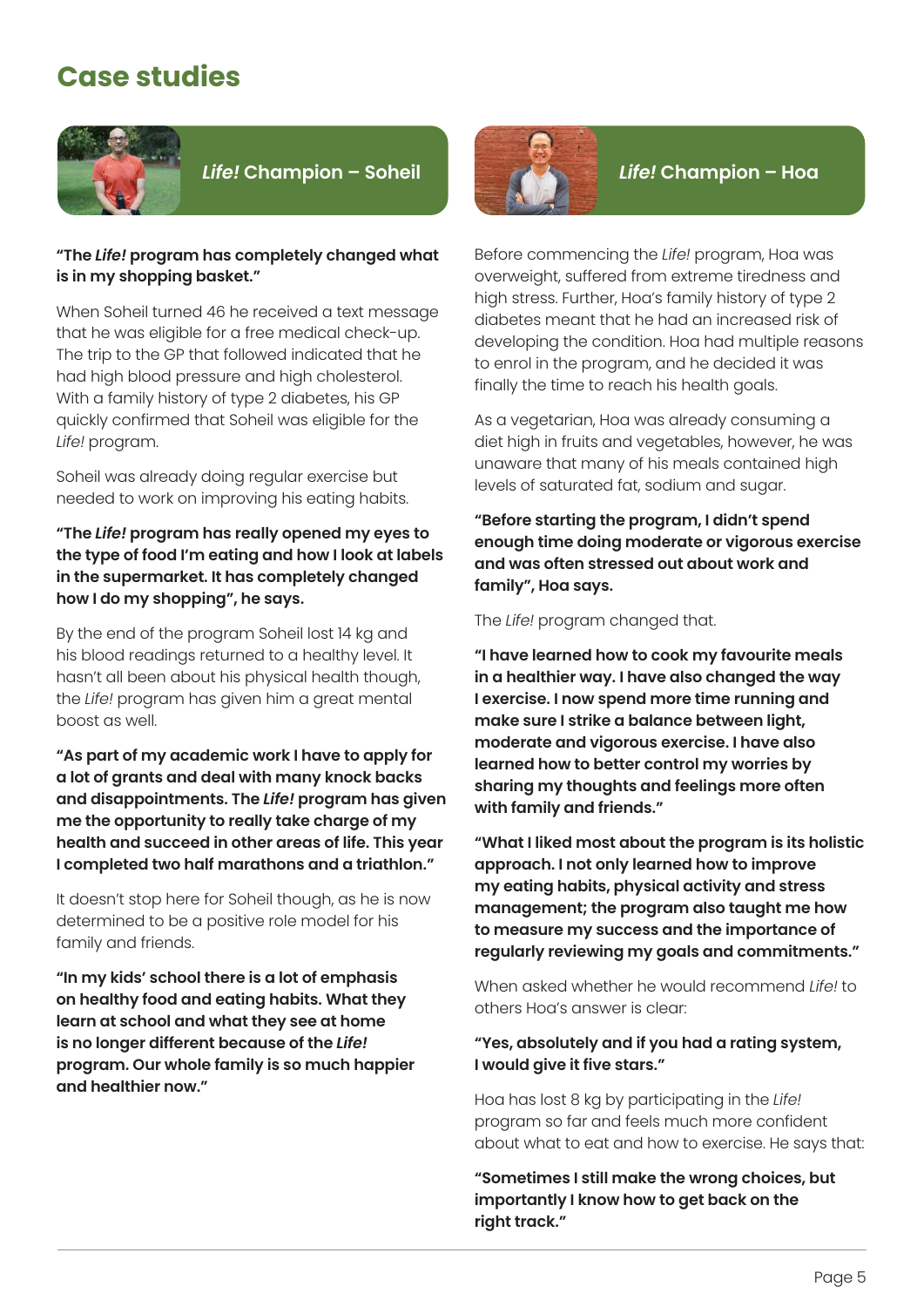### **Case studies**



#### *Life!* **Champion – Soheil** *Life!* **Champion – Hoa**

#### **"The** *Life!* **program has completely changed what is in my shopping basket."**

When Soheil turned 46 he received a text message that he was eligible for a free medical check-up. The trip to the GP that followed indicated that he had high blood pressure and high cholesterol. With a family history of type 2 diabetes, his GP quickly confirmed that Soheil was eligible for the *Life!* program.

Soheil was already doing regular exercise but needed to work on improving his eating habits.

#### **"The** *Life!* **program has really opened my eyes to the type of food I'm eating and how I look at labels in the supermarket. It has completely changed how I do my shopping", he says.**

By the end of the program Soheil lost 14 kg and his blood readings returned to a healthy level. It hasn't all been about his physical health though, the *Life!* program has given him a great mental boost as well.

**"As part of my academic work I have to apply for a lot of grants and deal with many knock backs and disappointments. The** *Life!* **program has given me the opportunity to really take charge of my health and succeed in other areas of life. This year I completed two half marathons and a triathlon."**

It doesn't stop here for Soheil though, as he is now determined to be a positive role model for his family and friends.

**"In my kids' school there is a lot of emphasis on healthy food and eating habits. What they learn at school and what they see at home is no longer different because of the** *Life!* **program. Our whole family is so much happier and healthier now."**



Before commencing the *Life!* program, Hoa was overweight, suffered from extreme tiredness and high stress. Further, Hoa's family history of type 2 diabetes meant that he had an increased risk of developing the condition. Hoa had multiple reasons to enrol in the program, and he decided it was finally the time to reach his health goals.

As a vegetarian, Hoa was already consuming a diet high in fruits and vegetables, however, he was unaware that many of his meals contained high levels of saturated fat, sodium and sugar.

**"Before starting the program, I didn't spend enough time doing moderate or vigorous exercise and was often stressed out about work and family", Hoa says.**

The *Life!* program changed that.

**"I have learned how to cook my favourite meals in a healthier way. I have also changed the way I exercise. I now spend more time running and make sure I strike a balance between light, moderate and vigorous exercise. I have also learned how to better control my worries by sharing my thoughts and feelings more often with family and friends."**

**"What I liked most about the program is its holistic approach. I not only learned how to improve my eating habits, physical activity and stress management; the program also taught me how to measure my success and the importance of regularly reviewing my goals and commitments."** 

When asked whether he would recommend *Life!* to others Hoa's answer is clear:

#### **"Yes, absolutely and if you had a rating system, I would give it five stars."**

Hoa has lost 8 kg by participating in the *Life!* program so far and feels much more confident about what to eat and how to exercise. He says that:

**"Sometimes I still make the wrong choices, but importantly I know how to get back on the right track."**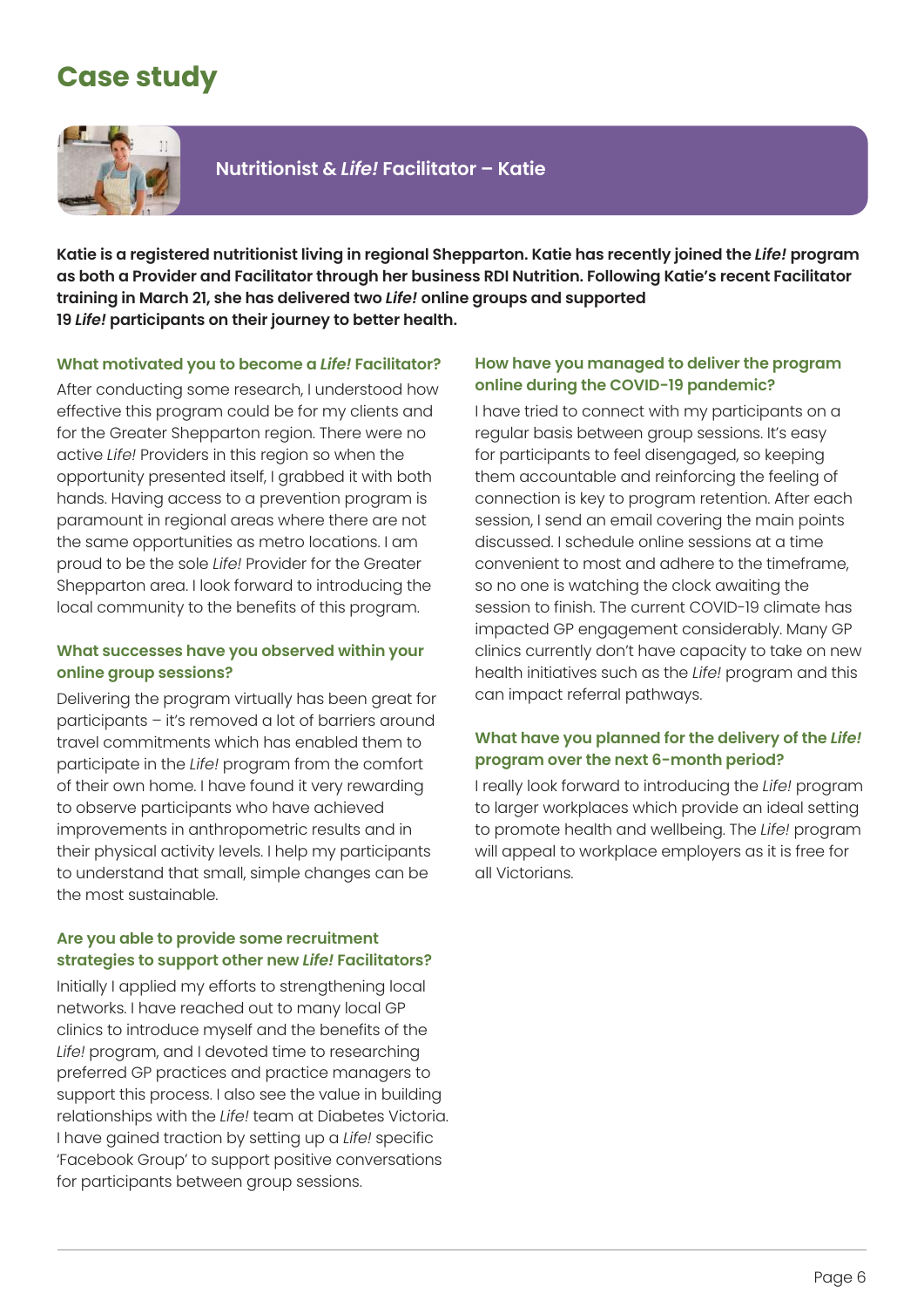### **Case study**



**Nutritionist &** *Life!* **Facilitator – Katie**

**Katie is a registered nutritionist living in regional Shepparton. Katie has recently joined the** *Life!* **program as both a Provider and Facilitator through her business RDI Nutrition. Following Katie's recent Facilitator training in March 21, she has delivered two** *Life!* **online groups and supported 19** *Life!* **participants on their journey to better health.** 

#### **What motivated you to become a** *Life!* **Facilitator?**

After conducting some research, I understood how effective this program could be for my clients and for the Greater Shepparton region. There were no active *Life!* Providers in this region so when the opportunity presented itself, I grabbed it with both hands. Having access to a prevention program is paramount in regional areas where there are not the same opportunities as metro locations. I am proud to be the sole *Life!* Provider for the Greater Shepparton area. I look forward to introducing the local community to the benefits of this program.

#### **What successes have you observed within your online group sessions?**

Delivering the program virtually has been great for participants – it's removed a lot of barriers around travel commitments which has enabled them to participate in the *Life!* program from the comfort of their own home. I have found it very rewarding to observe participants who have achieved improvements in anthropometric results and in their physical activity levels. I help my participants to understand that small, simple changes can be the most sustainable.

#### **Are you able to provide some recruitment strategies to support other new** *Life!* **Facilitators?**

Initially I applied my efforts to strengthening local networks. I have reached out to many local GP clinics to introduce myself and the benefits of the *Life!* program, and I devoted time to researching preferred GP practices and practice managers to support this process. I also see the value in building relationships with the *Life!* team at Diabetes Victoria. I have gained traction by setting up a *Life!* specific 'Facebook Group' to support positive conversations for participants between group sessions.

#### **How have you managed to deliver the program online during the COVID-19 pandemic?**

I have tried to connect with my participants on a regular basis between group sessions. It's easy for participants to feel disengaged, so keeping them accountable and reinforcing the feeling of connection is key to program retention. After each session, I send an email covering the main points discussed. I schedule online sessions at a time convenient to most and adhere to the timeframe, so no one is watching the clock awaiting the session to finish. The current COVID-19 climate has impacted GP engagement considerably. Many GP clinics currently don't have capacity to take on new health initiatives such as the *Life!* program and this can impact referral pathways.

#### **What have you planned for the delivery of the** *Life!* **program over the next 6-month period?**

I really look forward to introducing the *Life!* program to larger workplaces which provide an ideal setting to promote health and wellbeing. The *Life!* program will appeal to workplace employers as it is free for all Victorians.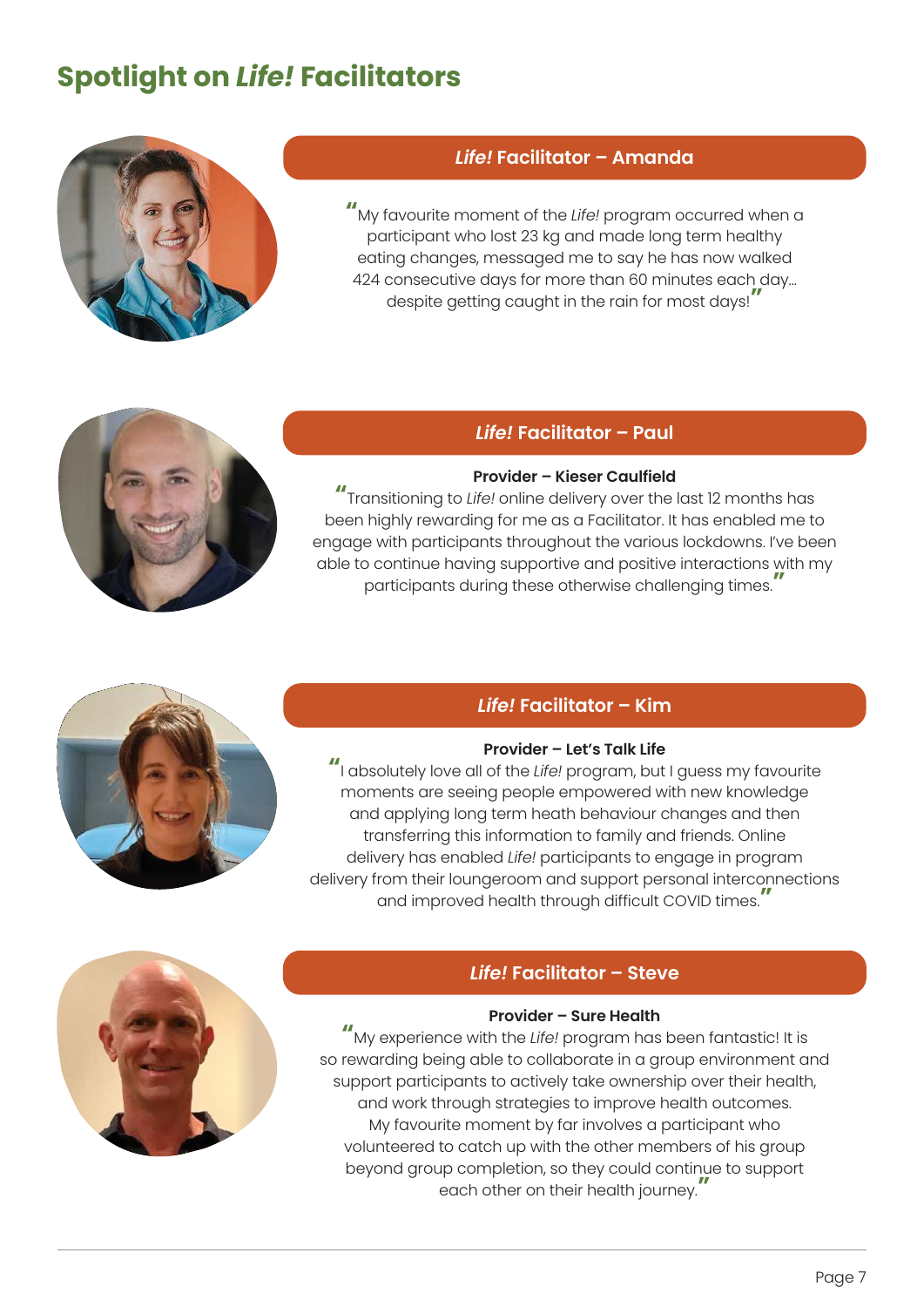### **Spotlight on** *Life!* **Facilitators**



#### *Life!* **Facilitator – Amanda**

**"**My favourite moment of the *Life!* program occurred when a participant who lost 23 kg and made long term healthy eating changes, messaged me to say he has now walked 424 consecutive days for more than 60 minutes each day… despite getting caught in the rain for most days!**"**

#### *Life!* **Facilitator – Paul**

#### **Provider – Kieser Caulfield**

**"**Transitioning to *Life!* online delivery over the last 12 months has been highly rewarding for me as a Facilitator. It has enabled me to engage with participants throughout the various lockdowns. I've been able to continue having supportive and positive interactions with my participants during these otherwise challenging times.**"** 

#### *Life!* **Facilitator – Kim**

#### **Provider – Let's Talk Life**

**"**I absolutely love all of the *Life!* program, but I guess my favourite moments are seeing people empowered with new knowledge and applying long term heath behaviour changes and then transferring this information to family and friends. Online delivery has enabled *Life!* participants to engage in program delivery from their loungeroom and support personal interconnections and improved health through difficult COVID times.**"**



#### *Life!* **Facilitator – Steve**

#### **Provider – Sure Health**

**"**My experience with the *Life!* program has been fantastic! It is so rewarding being able to collaborate in a group environment and support participants to actively take ownership over their health, and work through strategies to improve health outcomes. My favourite moment by far involves a participant who volunteered to catch up with the other members of his group beyond group completion, so they could continue to support each other on their health journey.**"**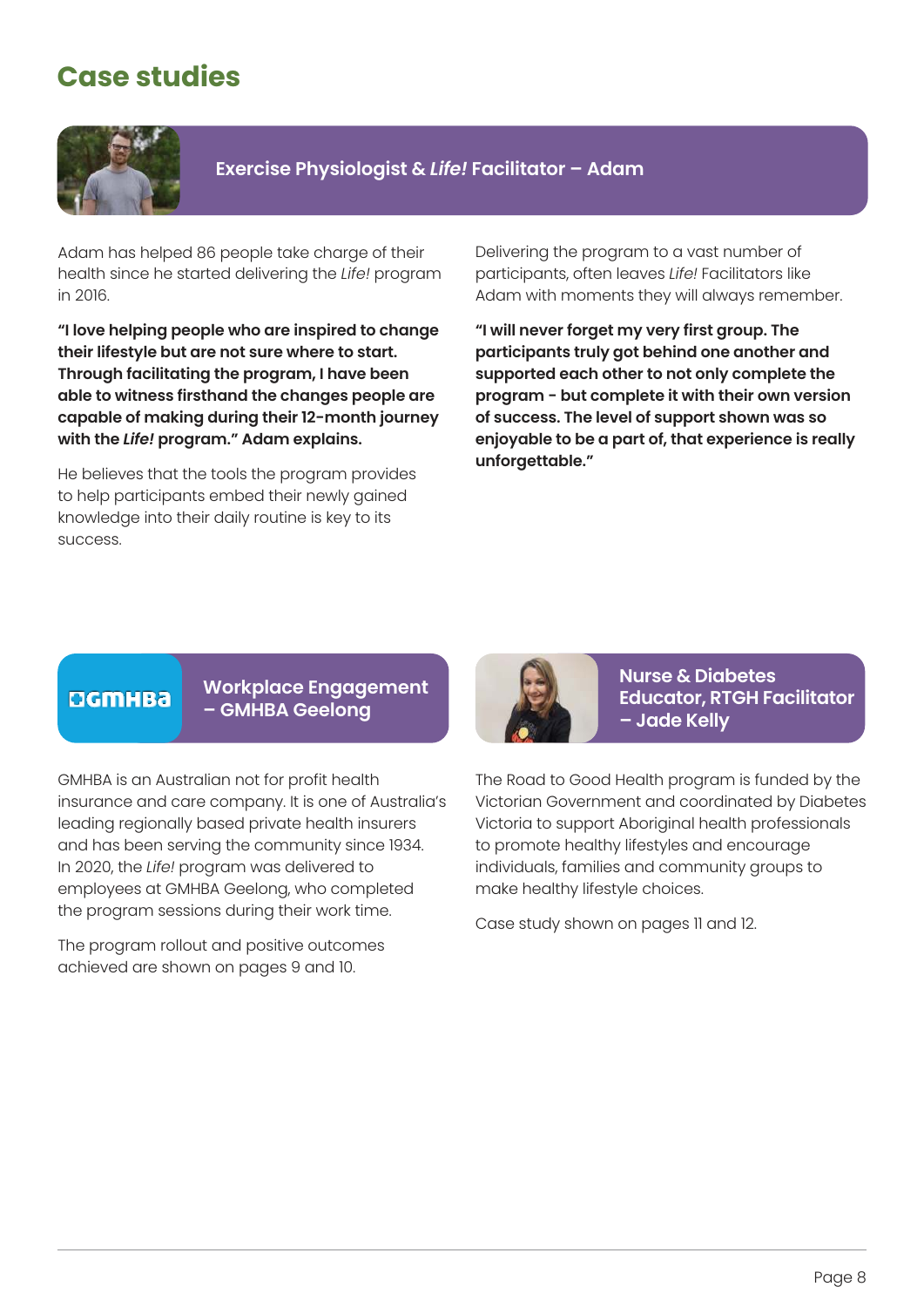### **Case studies**



**Exercise Physiologist &** *Life!* **Facilitator – Adam** 

Adam has helped 86 people take charge of their health since he started delivering the *Life!* program in 2016.

**"I love helping people who are inspired to change their lifestyle but are not sure where to start. Through facilitating the program, I have been able to witness firsthand the changes people are capable of making during their 12-month journey with the** *Life!* **program." Adam explains.** 

He believes that the tools the program provides to help participants embed their newly gained knowledge into their daily routine is key to its success.

Delivering the program to a vast number of participants, often leaves *Life!* Facilitators like Adam with moments they will always remember.

**"I will never forget my very first group. The participants truly got behind one another and supported each other to not only complete the program - but complete it with their own version of success. The level of support shown was so enjoyable to be a part of, that experience is really unforgettable."** 

#### CIGMHBa

#### **Workplace Engagement – GMHBA Geelong**

GMHBA is an Australian not for profit health insurance and care company. It is one of Australia's leading regionally based private health insurers and has been serving the community since 1934. In 2020, the *Life!* program was delivered to employees at GMHBA Geelong, who completed the program sessions during their work time.

The program rollout and positive outcomes achieved are shown on pages 9 and 10.



**Nurse & Diabetes Educator, RTGH Facilitator – Jade Kelly**

The Road to Good Health program is funded by the Victorian Government and coordinated by Diabetes Victoria to support Aboriginal health professionals to promote healthy lifestyles and encourage individuals, families and community groups to make healthy lifestyle choices.

Case study shown on pages 11 and 12.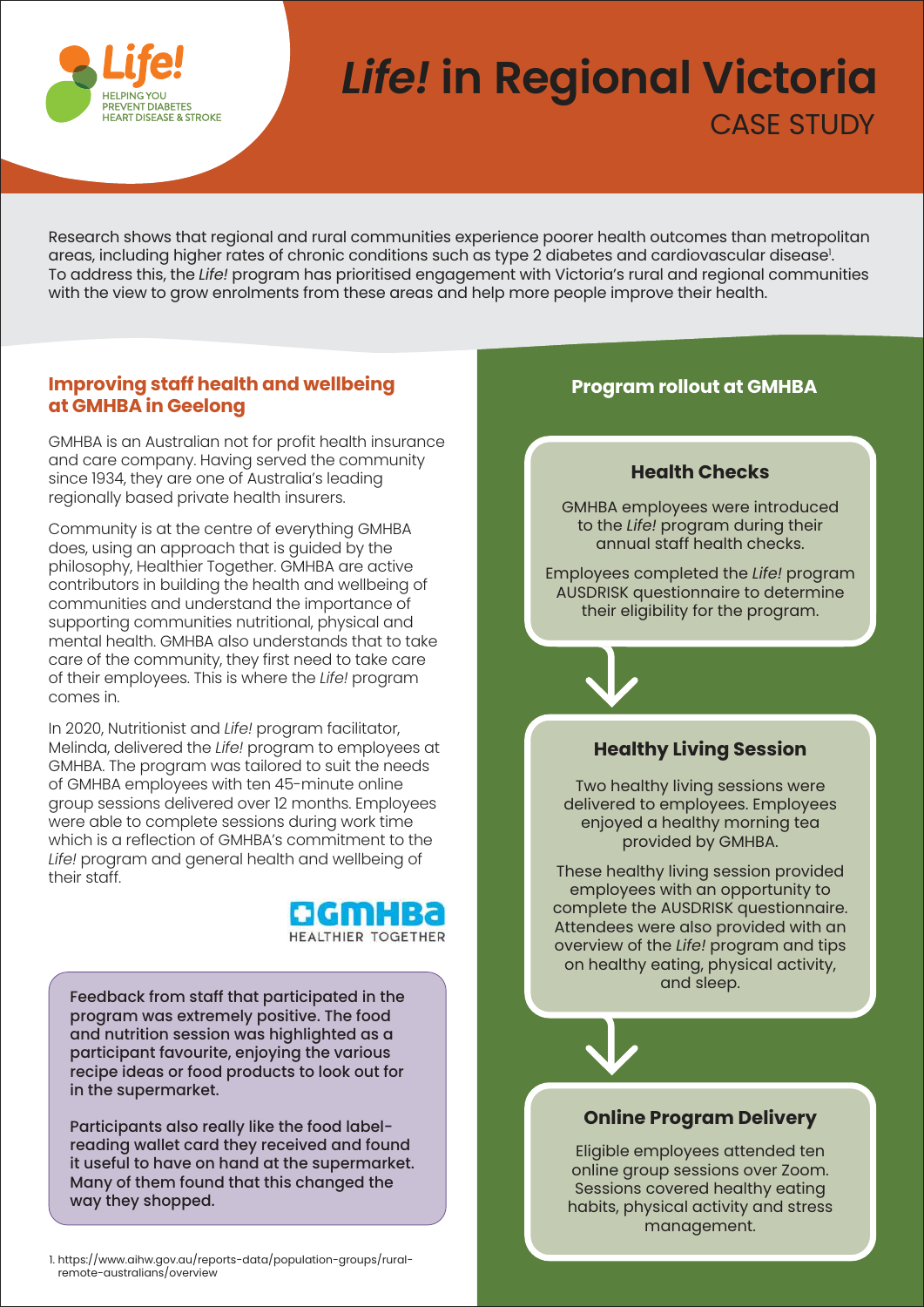

## **LIJE:** Life! in Regional Victoria CASE STUDY

Research shows that regional and rural communities experience poorer health outcomes than metropolitan areas, including higher rates of chronic conditions such as type 2 diabetes and cardiovascular disease 1 . To address this, the *Life!* program has prioritised engagement with Victoria's rural and regional communities with the view to grow enrolments from these areas and help more people improve their health.

#### **Improving staff health and wellbeing at GMHBA in Geelong**

GMHBA is an Australian not for profit health insurance and care company. Having served the community since 1934, they are one of Australia's leading regionally based private health insurers.

Community is at the centre of everything GMHBA does, using an approach that is guided by the philosophy, Healthier Together. GMHBA are active contributors in building the health and wellbeing of communities and understand the importance of supporting communities nutritional, physical and mental health. GMHBA also understands that to take care of the community, they first need to take care of their employees. This is where the *Life!* program comes in.

In 2020, Nutritionist and *Life!* program facilitator, Melinda, delivered the *Life!* program to employees at GMHBA. The program was tailored to suit the needs of GMHBA employees with ten 45-minute online group sessions delivered over 12 months. Employees were able to complete sessions during work time which is a reflection of GMHBA's commitment to the *Life!* program and general health and wellbeing of their staff.



Feedback from staff that participated in the program was extremely positive. The food and nutrition session was highlighted as a participant favourite, enjoying the various recipe ideas or food products to look out for in the supermarket.

Participants also really like the food labelreading wallet card they received and found it useful to have on hand at the supermarket. Many of them found that this changed the way they shopped.

1. https://www.aihw.gov.au/reports-data/population-groups/ruralremote-australians/overview



**Program rollout at GMHBA**

#### **Online Program Delivery**

Eligible employees attended ten online group sessions over Zoom. Sessions covered healthy eating habits, physical activity and stress management.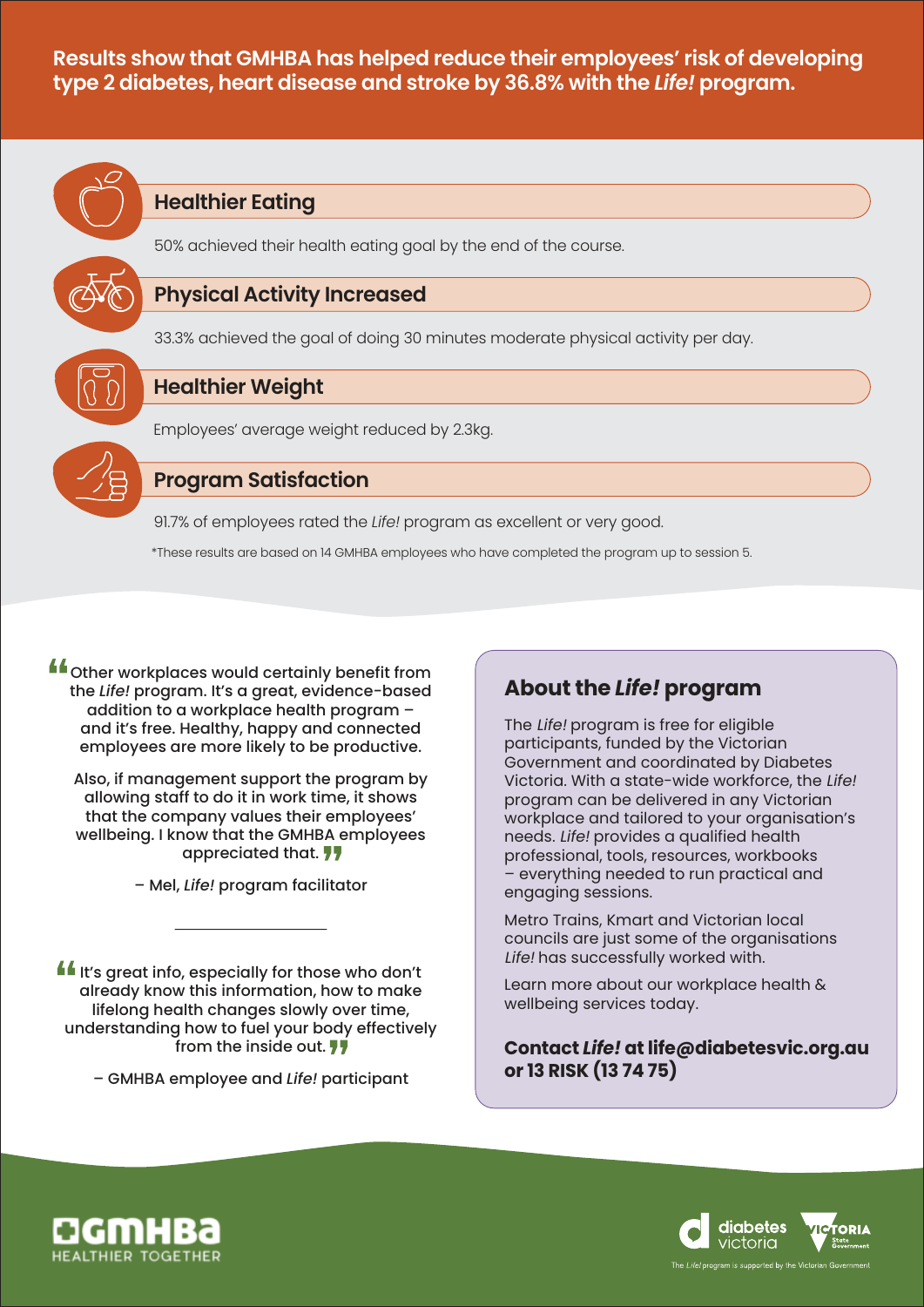**Results show that GMHBA has helped reduce their employees' risk of developing type 2 diabetes, heart disease and stroke by 36.8% with the** *Life!* **program.**



#### **Healthier Eating**



50% achieved their health eating goal by the end of the course.

#### **Physical Activity Increased**

33.3% achieved the goal of doing 30 minutes moderate physical activity per day.

#### **Healthier Weight**

Employees' average weight reduced by 2.3kg.



### **Program Satisfaction**

91.7% of employees rated the *Life!* program as excellent or very good.

\*These results are based on 14 GMHBA employees who have completed the program up to session 5.

**If** other workplaces would certainly benefit from the *Life!* program. It's a great, evidence-based addition to a workplace health program – and it's free. Healthy, happy and connected employees are more likely to be productive.

Also, if management support the program by allowing staff to do it in work time, it shows that the company values their employees' wellbeing. I know that the GMHBA employees appreciated that.

– Mel, *Life!* program facilitator

**If** It's great info, especially for those who don't already know this information, how to make lifelong health changes slowly over time, understanding how to fuel your body effectively from the inside out.  $\overline{11}$ 

– GMHBA employee and *Life!* participant

### **About the** *Life!* **program**

The Life! program is free for eligible participants, funded by the Victorian Government and coordinated by Diabetes Victoria. With a state-wide workforce, the Life! program can be delivered in any Victorian workplace and tailored to your organisation's needs. Life! provides a qualified health professional, tools, resources, workbooks – everything needed to run practical and engaging sessions.

Metro Trains, Kmart and Victorian local councils are just some of the organisations Life! has successfully worked with.

Learn more about our workplace health & wellbeing services today.

**Contact** *Life!* **at life@diabetesvic.org.au or 13 RISK (13 74 75)**



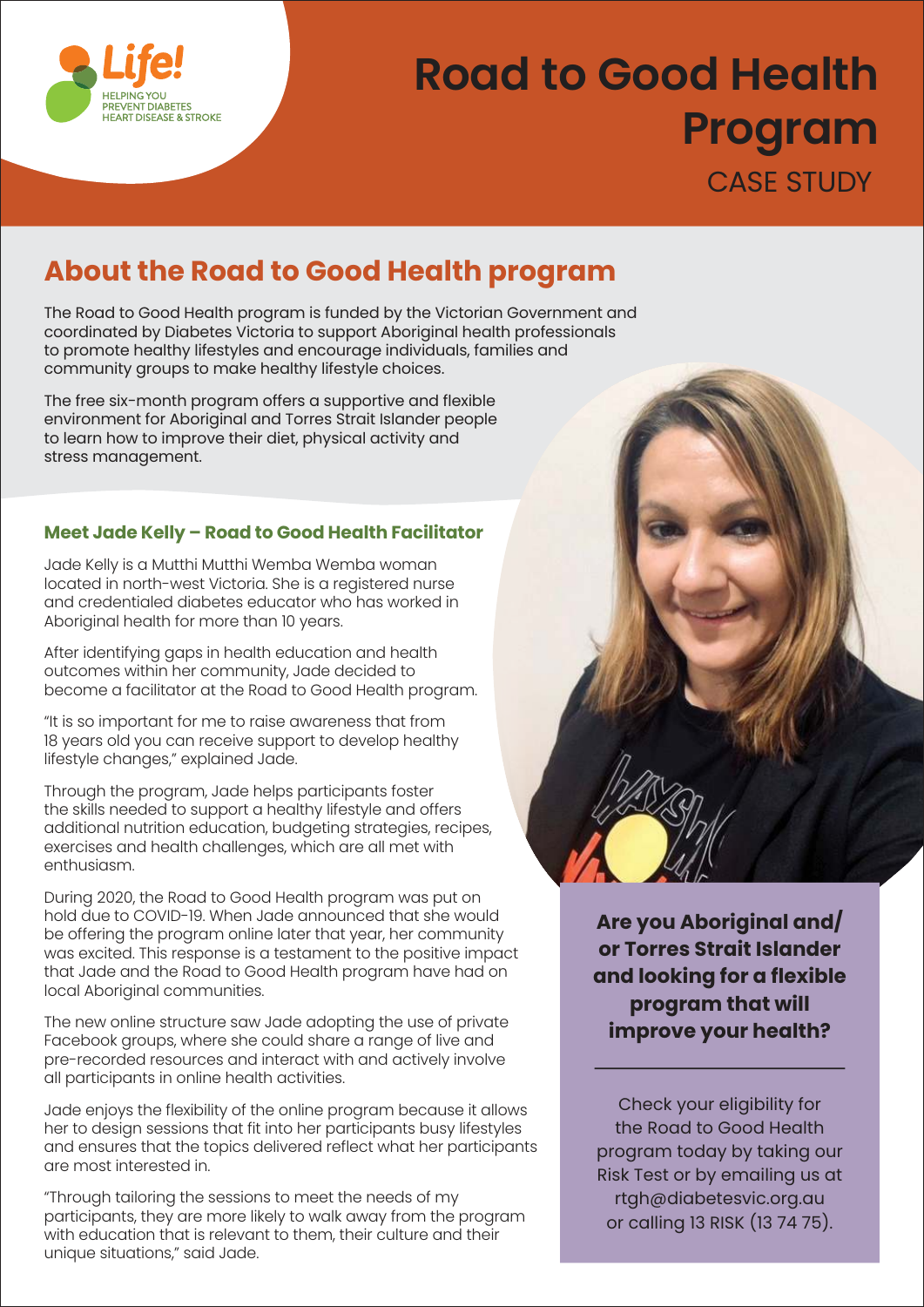

# **Road to Good Health Program**  CASE STUDY

### **About the Road to Good Health program**

The Road to Good Health program is funded by the Victorian Government and coordinated by Diabetes Victoria to support Aboriginal health professionals to promote healthy lifestyles and encourage individuals, families and community groups to make healthy lifestyle choices.

The free six-month program offers a supportive and flexible environment for Aboriginal and Torres Strait Islander people to learn how to improve their diet, physical activity and stress management.

#### **Meet Jade Kelly – Road to Good Health Facilitator**

Jade Kelly is a Mutthi Mutthi Wemba Wemba woman located in north-west Victoria. She is a registered nurse and credentialed diabetes educator who has worked in Aboriginal health for more than 10 years.

After identifying gaps in health education and health outcomes within her community, Jade decided to become a facilitator at the Road to Good Health program.

"It is so important for me to raise awareness that from 18 years old you can receive support to develop healthy lifestyle changes," explained Jade.

Through the program, Jade helps participants foster the skills needed to support a healthy lifestyle and offers additional nutrition education, budgeting strategies, recipes, exercises and health challenges, which are all met with enthusiasm.

During 2020, the Road to Good Health program was put on hold due to COVID-19. When Jade announced that she would be offering the program online later that year, her community was excited. This response is a testament to the positive impact that Jade and the Road to Good Health program have had on local Aboriginal communities.

The new online structure saw Jade adopting the use of private Facebook groups, where she could share a range of live and pre-recorded resources and interact with and actively involve all participants in online health activities.

Jade enjoys the flexibility of the online program because it allows her to design sessions that fit into her participants busy lifestyles and ensures that the topics delivered reflect what her participants are most interested in.

"Through tailoring the sessions to meet the needs of my participants, they are more likely to walk away from the program with education that is relevant to them, their culture and their unique situations," said Jade.

**Are you Aboriginal and/ or Torres Strait Islander and looking for a flexible program that will improve your health?**

Check your eligibility for the Road to Good Health program today by taking our Risk Test or by emailing us at rtgh@diabetesvic.org.au or calling 13 RISK (13 74 75).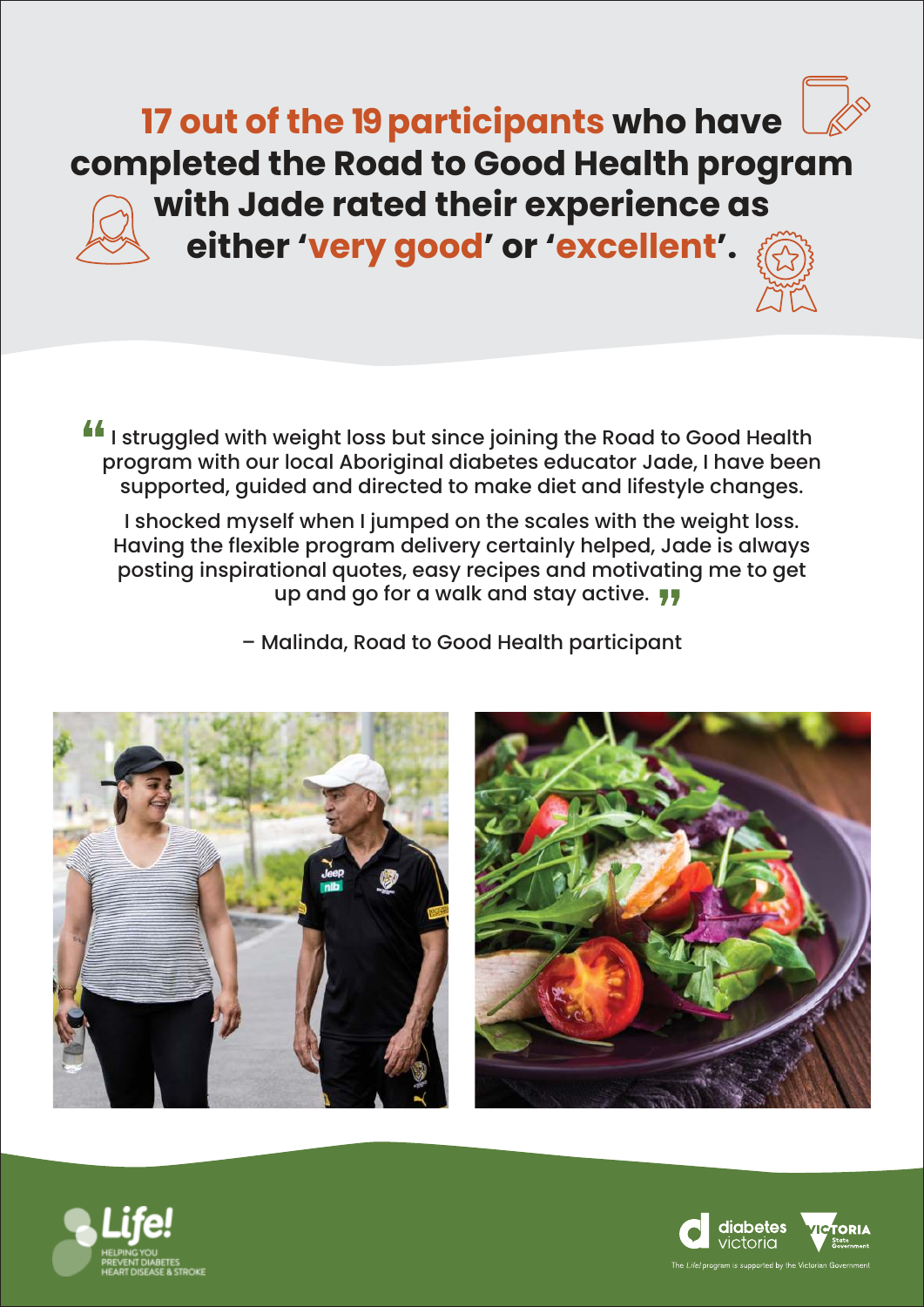**17 out of the 19 participants who have completed the Road to Good Health program with Jade rated their experience as either 'very good' or 'excellent'.**

I struggled with weight loss but since joining the Road to Good Health program with our local Aboriginal diabetes educator Jade, I have been supported, guided and directed to make diet and lifestyle changes.

I shocked myself when I jumped on the scales with the weight loss. Having the flexible program delivery certainly helped, Jade is always posting inspirational quotes, easy recipes and motivating me to get up and go for a walk and stay active.

– Malinda, Road to Good Health participant